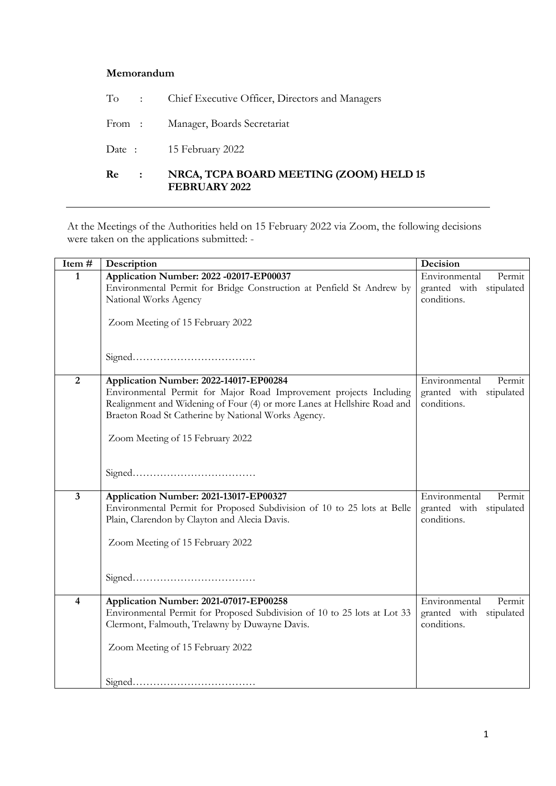## **Memorandum**

| Re<br>$\sim$ 100 $\sim$ | NRCA, TCPA BOARD MEETING (ZOOM) HELD 15<br><b>FEBRUARY 2022</b> |
|-------------------------|-----------------------------------------------------------------|
|                         | Date: 15 February 2022                                          |
|                         | From: Manager, Boards Secretariat                               |
|                         | To : Chief Executive Officer, Directors and Managers            |

At the Meetings of the Authorities held on 15 February 2022 via Zoom, the following decisions were taken on the applications submitted: -

| Item#          | Description                                                                                                                                                                                           | Decision                               |
|----------------|-------------------------------------------------------------------------------------------------------------------------------------------------------------------------------------------------------|----------------------------------------|
| 1              | Application Number: 2022 -02017-EP00037                                                                                                                                                               | Environmental<br>Permit                |
|                | Environmental Permit for Bridge Construction at Penfield St Andrew by                                                                                                                                 | granted with stipulated                |
|                | National Works Agency                                                                                                                                                                                 | conditions.                            |
|                | Zoom Meeting of 15 February 2022                                                                                                                                                                      |                                        |
|                |                                                                                                                                                                                                       |                                        |
| $\overline{2}$ | Application Number: 2022-14017-EP00284                                                                                                                                                                | Environmental<br>Permit                |
|                | Environmental Permit for Major Road Improvement projects Including<br>Realignment and Widening of Four (4) or more Lanes at Hellshire Road and<br>Braeton Road St Catherine by National Works Agency. | granted with stipulated<br>conditions. |
|                | Zoom Meeting of 15 February 2022                                                                                                                                                                      |                                        |
|                |                                                                                                                                                                                                       |                                        |
| 3              | Application Number: 2021-13017-EP00327                                                                                                                                                                | Environmental<br>Permit                |
|                | Environmental Permit for Proposed Subdivision of 10 to 25 lots at Belle                                                                                                                               | granted with stipulated                |
|                | Plain, Clarendon by Clayton and Alecia Davis.                                                                                                                                                         | conditions.                            |
|                | Zoom Meeting of 15 February 2022                                                                                                                                                                      |                                        |
|                |                                                                                                                                                                                                       |                                        |
| 4              | Application Number: 2021-07017-EP00258                                                                                                                                                                | Environmental<br>Permit                |
|                | Environmental Permit for Proposed Subdivision of 10 to 25 lots at Lot 33                                                                                                                              | granted with stipulated                |
|                | Clermont, Falmouth, Trelawny by Duwayne Davis.                                                                                                                                                        | conditions.                            |
|                | Zoom Meeting of 15 February 2022                                                                                                                                                                      |                                        |
|                |                                                                                                                                                                                                       |                                        |
|                |                                                                                                                                                                                                       |                                        |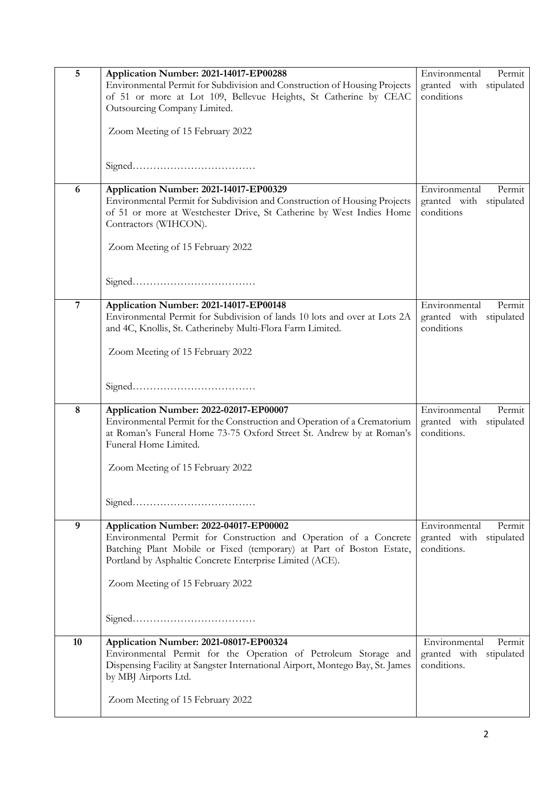| 5              | Application Number: 2021-14017-EP00288<br>Environmental Permit for Subdivision and Construction of Housing Projects<br>of 51 or more at Lot 109, Bellevue Heights, St Catherine by CEAC<br>Outsourcing Company Limited.<br>Zoom Meeting of 15 February 2022 | Environmental<br>Permit<br>granted with stipulated<br>conditions     |
|----------------|-------------------------------------------------------------------------------------------------------------------------------------------------------------------------------------------------------------------------------------------------------------|----------------------------------------------------------------------|
|                |                                                                                                                                                                                                                                                             |                                                                      |
| 6              | Application Number: 2021-14017-EP00329<br>Environmental Permit for Subdivision and Construction of Housing Projects<br>of 51 or more at Westchester Drive, St Catherine by West Indies Home<br>Contractors (WIHCON).                                        | Environmental<br>Permit<br>granted with stipulated<br>conditions     |
|                | Zoom Meeting of 15 February 2022                                                                                                                                                                                                                            |                                                                      |
|                |                                                                                                                                                                                                                                                             |                                                                      |
| $\overline{7}$ | Application Number: 2021-14017-EP00148<br>Environmental Permit for Subdivision of lands 10 lots and over at Lots 2A<br>and 4C, Knollis, St. Catherineby Multi-Flora Farm Limited.                                                                           | Environmental<br>Permit<br>granted with<br>stipulated<br>conditions  |
|                | Zoom Meeting of 15 February 2022                                                                                                                                                                                                                            |                                                                      |
|                |                                                                                                                                                                                                                                                             |                                                                      |
| 8              | Application Number: 2022-02017-EP00007<br>Environmental Permit for the Construction and Operation of a Crematorium<br>at Roman's Funeral Home 73-75 Oxford Street St. Andrew by at Roman's<br>Funeral Home Limited.                                         | Environmental<br>Permit<br>granted with stipulated<br>conditions.    |
|                | Zoom Meeting of 15 February 2022                                                                                                                                                                                                                            |                                                                      |
|                |                                                                                                                                                                                                                                                             |                                                                      |
| 9              | Application Number: 2022-04017-EP00002<br>Environmental Permit for Construction and Operation of a Concrete<br>Batching Plant Mobile or Fixed (temporary) at Part of Boston Estate,<br>Portland by Asphaltic Concrete Enterprise Limited (ACE).             | Environmental<br>Permit<br>granted with<br>stipulated<br>conditions. |
|                | Zoom Meeting of 15 February 2022                                                                                                                                                                                                                            |                                                                      |
|                |                                                                                                                                                                                                                                                             |                                                                      |
| 10             | Application Number: 2021-08017-EP00324<br>Environmental Permit for the Operation of Petroleum Storage and<br>Dispensing Facility at Sangster International Airport, Montego Bay, St. James<br>by MBJ Airports Ltd.                                          | Environmental<br>Permit<br>granted with stipulated<br>conditions.    |
|                | Zoom Meeting of 15 February 2022                                                                                                                                                                                                                            |                                                                      |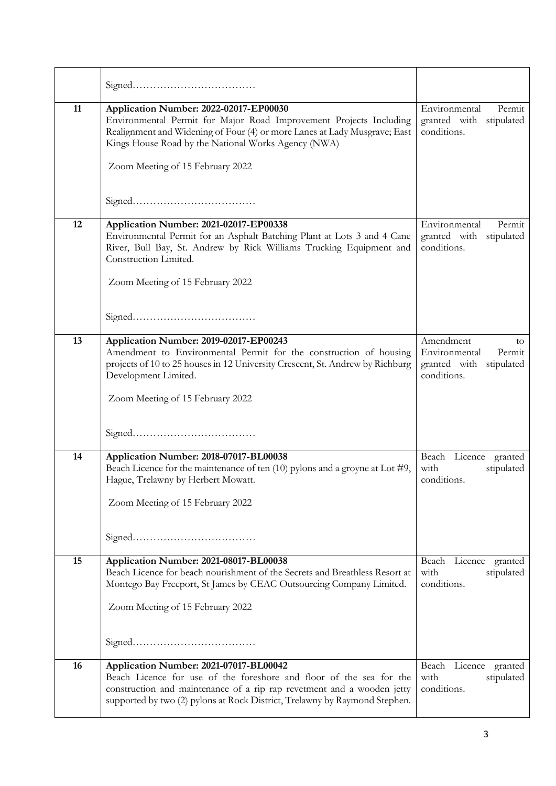| 11 | Application Number: 2022-02017-EP00030<br>Environmental Permit for Major Road Improvement Projects Including<br>Realignment and Widening of Four (4) or more Lanes at Lady Musgrave; East<br>Kings House Road by the National Works Agency (NWA)<br>Zoom Meeting of 15 February 2022 | Environmental<br>Permit<br>granted with stipulated<br>conditions.                       |
|----|--------------------------------------------------------------------------------------------------------------------------------------------------------------------------------------------------------------------------------------------------------------------------------------|-----------------------------------------------------------------------------------------|
|    |                                                                                                                                                                                                                                                                                      |                                                                                         |
| 12 | Application Number: 2021-02017-EP00338<br>Environmental Permit for an Asphalt Batching Plant at Lots 3 and 4 Cane<br>River, Bull Bay, St. Andrew by Rick Williams Trucking Equipment and<br>Construction Limited.<br>Zoom Meeting of 15 February 2022                                | Environmental<br>Permit<br>granted with<br>stipulated<br>conditions.                    |
|    |                                                                                                                                                                                                                                                                                      |                                                                                         |
| 13 | Application Number: 2019-02017-EP00243<br>Amendment to Environmental Permit for the construction of housing<br>projects of 10 to 25 houses in 12 University Crescent, St. Andrew by Richburg<br>Development Limited.<br>Zoom Meeting of 15 February 2022                             | Amendment<br>to<br>Environmental<br>Permit<br>granted with<br>stipulated<br>conditions. |
|    |                                                                                                                                                                                                                                                                                      |                                                                                         |
| 14 | Application Number: 2018-07017-BL00038<br>Beach Licence for the maintenance of ten $(10)$ pylons and a groyne at Lot #9,<br>Hague, Trelawny by Herbert Mowatt.<br>Zoom Meeting of 15 February 2022                                                                                   | Beach Licence granted<br>with<br>stipulated<br>conditions.                              |
| 15 | Application Number: 2021-08017-BL00038                                                                                                                                                                                                                                               | Beach Licence granted                                                                   |
|    | Beach Licence for beach nourishment of the Secrets and Breathless Resort at<br>Montego Bay Freeport, St James by CEAC Outsourcing Company Limited.<br>Zoom Meeting of 15 February 2022                                                                                               | with<br>stipulated<br>conditions.                                                       |
| 16 | Application Number: 2021-07017-BL00042<br>Beach Licence for use of the foreshore and floor of the sea for the<br>construction and maintenance of a rip rap revetment and a wooden jetty<br>supported by two (2) pylons at Rock District, Trelawny by Raymond Stephen.                | Beach Licence granted<br>with<br>stipulated<br>conditions.                              |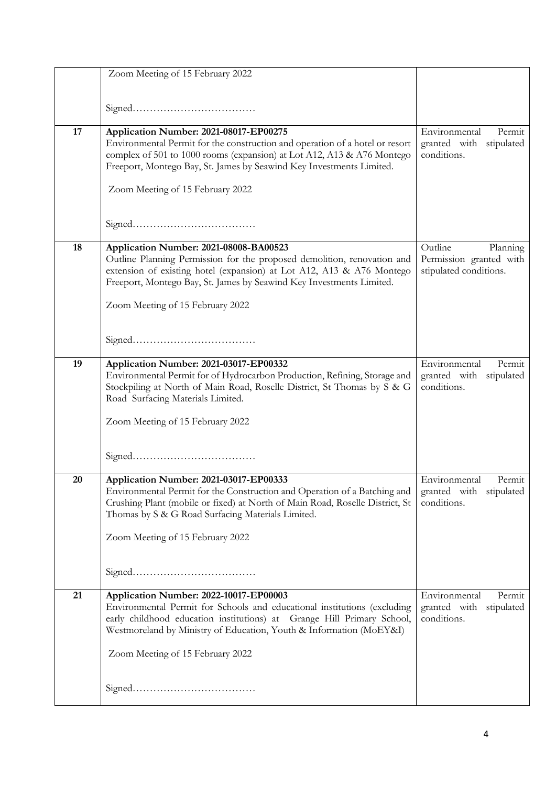|    | Zoom Meeting of 15 February 2022                                                                                                                                                                                                                                    |                                                                      |
|----|---------------------------------------------------------------------------------------------------------------------------------------------------------------------------------------------------------------------------------------------------------------------|----------------------------------------------------------------------|
|    |                                                                                                                                                                                                                                                                     |                                                                      |
|    |                                                                                                                                                                                                                                                                     |                                                                      |
| 17 | Application Number: 2021-08017-EP00275                                                                                                                                                                                                                              | Environmental<br>Permit                                              |
|    | Environmental Permit for the construction and operation of a hotel or resort<br>complex of 501 to 1000 rooms (expansion) at Lot A12, A13 & A76 Montego<br>Freeport, Montego Bay, St. James by Seawind Key Investments Limited.                                      | granted with stipulated<br>conditions.                               |
|    | Zoom Meeting of 15 February 2022                                                                                                                                                                                                                                    |                                                                      |
|    |                                                                                                                                                                                                                                                                     |                                                                      |
| 18 | Application Number: 2021-08008-BA00523                                                                                                                                                                                                                              | Outline<br>Planning                                                  |
|    | Outline Planning Permission for the proposed demolition, renovation and<br>extension of existing hotel (expansion) at Lot A12, A13 & A76 Montego<br>Freeport, Montego Bay, St. James by Seawind Key Investments Limited.                                            | Permission granted with<br>stipulated conditions.                    |
|    | Zoom Meeting of 15 February 2022                                                                                                                                                                                                                                    |                                                                      |
|    |                                                                                                                                                                                                                                                                     |                                                                      |
| 19 | Application Number: 2021-03017-EP00332<br>Environmental Permit for of Hydrocarbon Production, Refining, Storage and<br>Stockpiling at North of Main Road, Roselle District, St Thomas by S & G<br>Road Surfacing Materials Limited.                                 | Environmental<br>Permit<br>granted with<br>stipulated<br>conditions. |
|    | Zoom Meeting of 15 February 2022                                                                                                                                                                                                                                    |                                                                      |
|    |                                                                                                                                                                                                                                                                     |                                                                      |
| 20 | Application Number: 2021-03017-EP00333<br>Environmental Permit for the Construction and Operation of a Batching and<br>Crushing Plant (mobile or fixed) at North of Main Road, Roselle District, St<br>Thomas by S & G Road Surfacing Materials Limited.            | Environmental<br>Permit<br>granted with stipulated<br>conditions.    |
|    | Zoom Meeting of 15 February 2022                                                                                                                                                                                                                                    |                                                                      |
|    |                                                                                                                                                                                                                                                                     |                                                                      |
| 21 | Application Number: 2022-10017-EP00003<br>Environmental Permit for Schools and educational institutions (excluding<br>early childhood education institutions) at Grange Hill Primary School,<br>Westmoreland by Ministry of Education, Youth & Information (MoEY&I) | Environmental<br>Permit<br>granted with stipulated<br>conditions.    |
|    | Zoom Meeting of 15 February 2022                                                                                                                                                                                                                                    |                                                                      |
|    |                                                                                                                                                                                                                                                                     |                                                                      |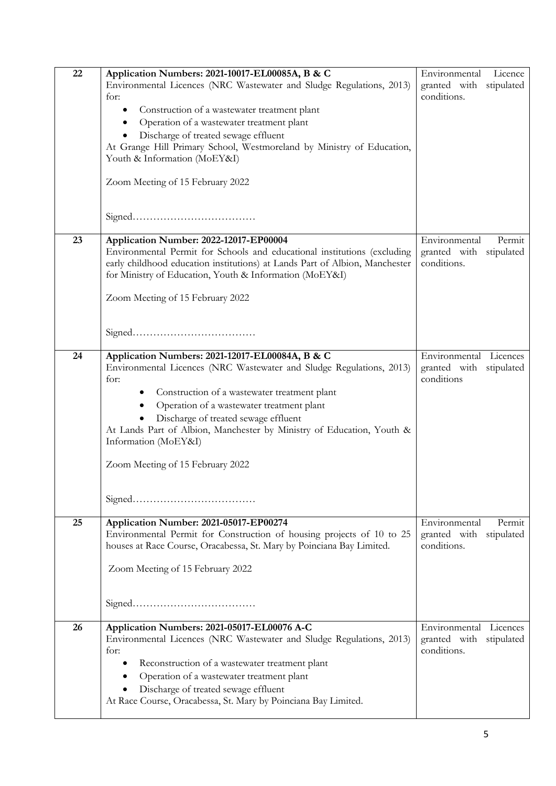| 22 | Application Numbers: 2021-10017-EL00085A, B & C                             | Licence<br>Environmental   |
|----|-----------------------------------------------------------------------------|----------------------------|
|    | Environmental Licences (NRC Wastewater and Sludge Regulations, 2013)        | granted with stipulated    |
|    | for:                                                                        | conditions.                |
|    | Construction of a wastewater treatment plant<br>٠                           |                            |
|    | Operation of a wastewater treatment plant<br>$\bullet$                      |                            |
|    | Discharge of treated sewage effluent                                        |                            |
|    | At Grange Hill Primary School, Westmoreland by Ministry of Education,       |                            |
|    | Youth & Information (MoEY&I)                                                |                            |
|    |                                                                             |                            |
|    | Zoom Meeting of 15 February 2022                                            |                            |
|    |                                                                             |                            |
|    |                                                                             |                            |
|    |                                                                             |                            |
| 23 | Application Number: 2022-12017-EP00004                                      | Environmental<br>Permit    |
|    | Environmental Permit for Schools and educational institutions (excluding    | granted with stipulated    |
|    | early childhood education institutions) at Lands Part of Albion, Manchester | conditions.                |
|    | for Ministry of Education, Youth & Information (MoEY&I)                     |                            |
|    |                                                                             |                            |
|    | Zoom Meeting of 15 February 2022                                            |                            |
|    |                                                                             |                            |
|    |                                                                             |                            |
|    |                                                                             |                            |
| 24 | Application Numbers: 2021-12017-EL00084A, B & C                             | Environmental<br>Licences  |
|    | Environmental Licences (NRC Wastewater and Sludge Regulations, 2013)        | granted with<br>stipulated |
|    | for:                                                                        | conditions                 |
|    | Construction of a wastewater treatment plant                                |                            |
|    | Operation of a wastewater treatment plant                                   |                            |
|    | Discharge of treated sewage effluent                                        |                            |
|    | At Lands Part of Albion, Manchester by Ministry of Education, Youth &       |                            |
|    | Information (MoEY&I)                                                        |                            |
|    |                                                                             |                            |
|    | Zoom Meeting of 15 February 2022                                            |                            |
|    |                                                                             |                            |
|    |                                                                             |                            |
|    |                                                                             |                            |
| 25 | Application Number: 2021-05017-EP00274                                      | Environmental<br>Permit    |
|    | Environmental Permit for Construction of housing projects of 10 to 25       | granted with<br>stipulated |
|    | houses at Race Course, Oracabessa, St. Mary by Poinciana Bay Limited.       | conditions.                |
|    |                                                                             |                            |
|    | Zoom Meeting of 15 February 2022                                            |                            |
|    |                                                                             |                            |
|    |                                                                             |                            |
|    |                                                                             |                            |
| 26 | Application Numbers: 2021-05017-EL00076 A-C                                 | Environmental Licences     |
|    | Environmental Licences (NRC Wastewater and Sludge Regulations, 2013)        | granted with stipulated    |
|    | for:                                                                        | conditions.                |
|    | Reconstruction of a wastewater treatment plant                              |                            |
|    | Operation of a wastewater treatment plant<br>$\bullet$                      |                            |
|    | Discharge of treated sewage effluent                                        |                            |
|    | At Race Course, Oracabessa, St. Mary by Poinciana Bay Limited.              |                            |
|    |                                                                             |                            |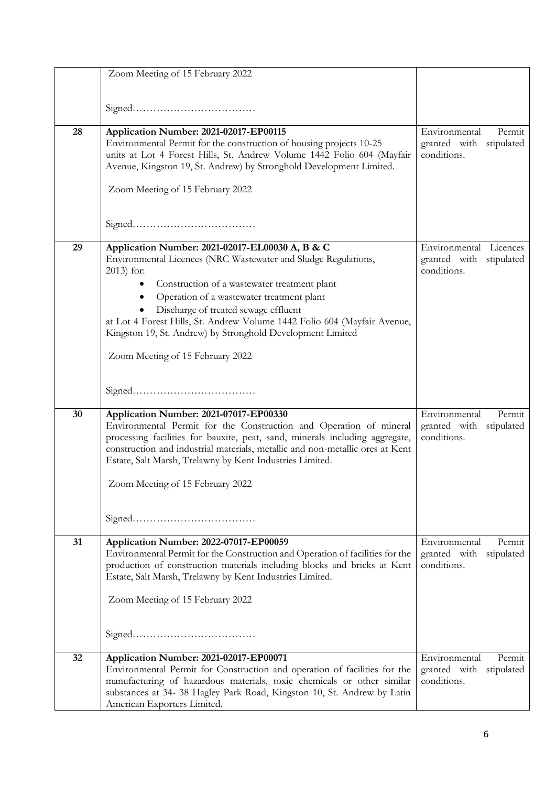|    | Zoom Meeting of 15 February 2022                                                                                                                                                                                                                                                                                                                                                                                            |                                                                      |
|----|-----------------------------------------------------------------------------------------------------------------------------------------------------------------------------------------------------------------------------------------------------------------------------------------------------------------------------------------------------------------------------------------------------------------------------|----------------------------------------------------------------------|
|    |                                                                                                                                                                                                                                                                                                                                                                                                                             |                                                                      |
| 28 | Application Number: 2021-02017-EP00115<br>Environmental Permit for the construction of housing projects 10-25<br>units at Lot 4 Forest Hills, St. Andrew Volume 1442 Folio 604 (Mayfair<br>Avenue, Kingston 19, St. Andrew) by Stronghold Development Limited.<br>Zoom Meeting of 15 February 2022                                                                                                                          | Environmental<br>Permit<br>granted with stipulated<br>conditions.    |
|    |                                                                                                                                                                                                                                                                                                                                                                                                                             |                                                                      |
| 29 | Application Number: 2021-02017-EL00030 A, B & C<br>Environmental Licences (NRC Wastewater and Sludge Regulations,<br>2013) for:<br>Construction of a wastewater treatment plant<br>Operation of a wastewater treatment plant<br>$\bullet$<br>Discharge of treated sewage effluent<br>at Lot 4 Forest Hills, St. Andrew Volume 1442 Folio 604 (Mayfair Avenue,<br>Kingston 19, St. Andrew) by Stronghold Development Limited | Environmental Licences<br>granted with stipulated<br>conditions.     |
|    | Zoom Meeting of 15 February 2022                                                                                                                                                                                                                                                                                                                                                                                            |                                                                      |
|    |                                                                                                                                                                                                                                                                                                                                                                                                                             |                                                                      |
| 30 | Application Number: 2021-07017-EP00330<br>Environmental Permit for the Construction and Operation of mineral<br>processing facilities for bauxite, peat, sand, minerals including aggregate,<br>construction and industrial materials, metallic and non-metallic ores at Kent<br>Estate, Salt Marsh, Trelawny by Kent Industries Limited.<br>Zoom Meeting of 15 February 2022                                               | Environmental<br>Permit<br>granted with stipulated<br>conditions.    |
|    |                                                                                                                                                                                                                                                                                                                                                                                                                             |                                                                      |
| 31 | Application Number: 2022-07017-EP00059<br>Environmental Permit for the Construction and Operation of facilities for the<br>production of construction materials including blocks and bricks at Kent<br>Estate, Salt Marsh, Trelawny by Kent Industries Limited.<br>Zoom Meeting of 15 February 2022                                                                                                                         | Environmental<br>Permit<br>granted with<br>stipulated<br>conditions. |
|    |                                                                                                                                                                                                                                                                                                                                                                                                                             |                                                                      |
| 32 | Application Number: 2021-02017-EP00071<br>Environmental Permit for Construction and operation of facilities for the<br>manufacturing of hazardous materials, toxic chemicals or other similar<br>substances at 34- 38 Hagley Park Road, Kingston 10, St. Andrew by Latin<br>American Exporters Limited.                                                                                                                     | Environmental<br>Permit<br>granted with<br>stipulated<br>conditions. |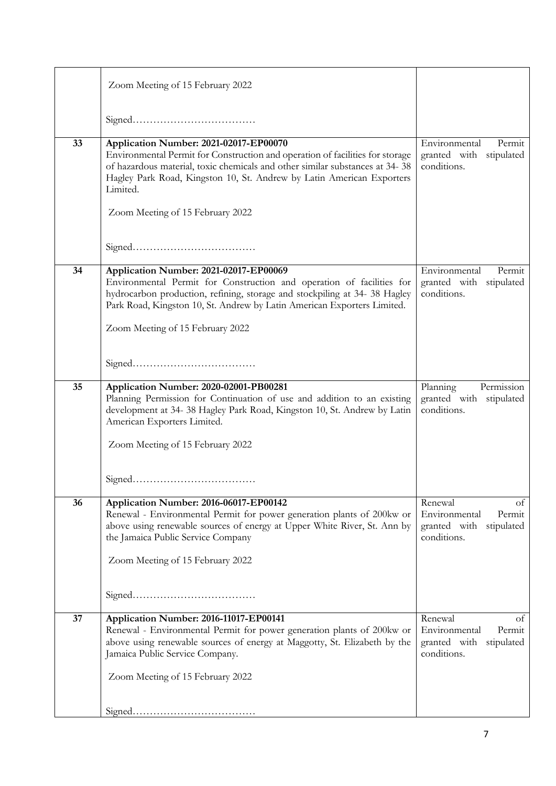|    | Zoom Meeting of 15 February 2022                                                                                                                                                                                                                                                                                                 |                                                                                    |
|----|----------------------------------------------------------------------------------------------------------------------------------------------------------------------------------------------------------------------------------------------------------------------------------------------------------------------------------|------------------------------------------------------------------------------------|
|    |                                                                                                                                                                                                                                                                                                                                  |                                                                                    |
| 33 | Application Number: 2021-02017-EP00070<br>Environmental Permit for Construction and operation of facilities for storage<br>of hazardous material, toxic chemicals and other similar substances at 34-38<br>Hagley Park Road, Kingston 10, St. Andrew by Latin American Exporters<br>Limited.<br>Zoom Meeting of 15 February 2022 | Environmental<br>Permit<br>granted with stipulated<br>conditions.                  |
|    |                                                                                                                                                                                                                                                                                                                                  |                                                                                    |
| 34 | Application Number: 2021-02017-EP00069<br>Environmental Permit for Construction and operation of facilities for<br>hydrocarbon production, refining, storage and stockpiling at 34-38 Hagley<br>Park Road, Kingston 10, St. Andrew by Latin American Exporters Limited.<br>Zoom Meeting of 15 February 2022                      | Environmental<br>Permit<br>granted with stipulated<br>conditions.                  |
|    |                                                                                                                                                                                                                                                                                                                                  |                                                                                    |
| 35 | Application Number: 2020-02001-PB00281<br>Planning Permission for Continuation of use and addition to an existing<br>development at 34-38 Hagley Park Road, Kingston 10, St. Andrew by Latin<br>American Exporters Limited.<br>Zoom Meeting of 15 February 2022                                                                  | Planning<br>Permission<br>granted with stipulated<br>conditions.                   |
|    |                                                                                                                                                                                                                                                                                                                                  |                                                                                    |
| 36 | Application Number: 2016-06017-EP00142<br>Renewal - Environmental Permit for power generation plants of 200kw or<br>above using renewable sources of energy at Upper White River, St. Ann by<br>the Jamaica Public Service Company<br>Zoom Meeting of 15 February 2022                                                           | Renewal<br>of<br>Environmental<br>Permit<br>granted with stipulated<br>conditions. |
|    |                                                                                                                                                                                                                                                                                                                                  |                                                                                    |
| 37 | Application Number: 2016-11017-EP00141<br>Renewal - Environmental Permit for power generation plants of 200kw or<br>above using renewable sources of energy at Maggotty, St. Elizabeth by the<br>Jamaica Public Service Company.<br>Zoom Meeting of 15 February 2022                                                             | Renewal<br>οf<br>Environmental<br>Permit<br>granted with stipulated<br>conditions. |
|    |                                                                                                                                                                                                                                                                                                                                  |                                                                                    |
|    |                                                                                                                                                                                                                                                                                                                                  |                                                                                    |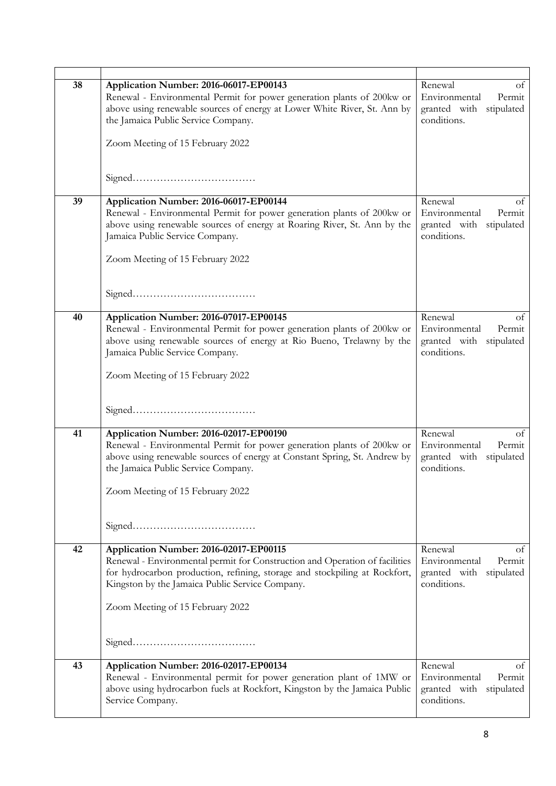| 38 | Application Number: 2016-06017-EP00143<br>Renewal - Environmental Permit for power generation plants of 200kw or<br>above using renewable sources of energy at Lower White River, St. Ann by<br>the Jamaica Public Service Company.                                 | Renewal<br>Οt<br>Environmental<br>Permit<br>granted with stipulated<br>conditions. |
|----|---------------------------------------------------------------------------------------------------------------------------------------------------------------------------------------------------------------------------------------------------------------------|------------------------------------------------------------------------------------|
|    | Zoom Meeting of 15 February 2022                                                                                                                                                                                                                                    |                                                                                    |
|    |                                                                                                                                                                                                                                                                     |                                                                                    |
| 39 | Application Number: 2016-06017-EP00144<br>Renewal - Environmental Permit for power generation plants of 200kw or<br>above using renewable sources of energy at Roaring River, St. Ann by the<br>Jamaica Public Service Company.<br>Zoom Meeting of 15 February 2022 | Renewal<br>of<br>Environmental<br>Permit<br>granted with stipulated<br>conditions. |
|    |                                                                                                                                                                                                                                                                     |                                                                                    |
| 40 | Application Number: 2016-07017-EP00145<br>Renewal - Environmental Permit for power generation plants of 200kw or<br>above using renewable sources of energy at Rio Bueno, Trelawny by the<br>Jamaica Public Service Company.<br>Zoom Meeting of 15 February 2022    | Renewal<br>of<br>Permit<br>Environmental<br>granted with stipulated<br>conditions. |
|    |                                                                                                                                                                                                                                                                     |                                                                                    |
| 41 | Application Number: 2016-02017-EP00190<br>Renewal - Environmental Permit for power generation plants of 200kw or<br>above using renewable sources of energy at Constant Spring, St. Andrew by<br>the Jamaica Public Service Company.                                | Renewal<br>of<br>Environmental<br>Permit<br>granted with stipulated<br>conditions. |
|    | Zoom Meeting of 15 February 2022                                                                                                                                                                                                                                    |                                                                                    |
|    |                                                                                                                                                                                                                                                                     |                                                                                    |
| 42 | Application Number: 2016-02017-EP00115<br>Renewal - Environmental permit for Construction and Operation of facilities<br>for hydrocarbon production, refining, storage and stockpiling at Rockfort,<br>Kingston by the Jamaica Public Service Company.              | Renewal<br>of<br>Environmental<br>Permit<br>granted with stipulated<br>conditions. |
|    | Zoom Meeting of 15 February 2022                                                                                                                                                                                                                                    |                                                                                    |
|    |                                                                                                                                                                                                                                                                     |                                                                                    |
| 43 | Application Number: 2016-02017-EP00134<br>Renewal - Environmental permit for power generation plant of 1MW or<br>above using hydrocarbon fuels at Rockfort, Kingston by the Jamaica Public<br>Service Company.                                                      | Renewal<br>of<br>Environmental<br>Permit<br>granted with stipulated<br>conditions. |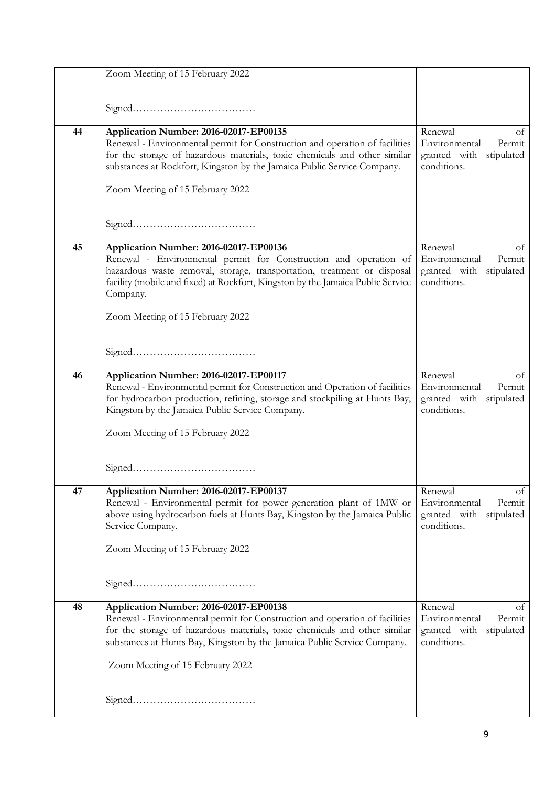|    | Zoom Meeting of 15 February 2022                                                                                                                           |                                          |
|----|------------------------------------------------------------------------------------------------------------------------------------------------------------|------------------------------------------|
|    |                                                                                                                                                            |                                          |
|    |                                                                                                                                                            |                                          |
|    |                                                                                                                                                            |                                          |
| 44 | Application Number: 2016-02017-EP00135<br>Renewal - Environmental permit for Construction and operation of facilities                                      | Renewal<br>of<br>Environmental<br>Permit |
|    | for the storage of hazardous materials, toxic chemicals and other similar                                                                                  | granted with stipulated                  |
|    | substances at Rockfort, Kingston by the Jamaica Public Service Company.                                                                                    | conditions.                              |
|    | Zoom Meeting of 15 February 2022                                                                                                                           |                                          |
|    |                                                                                                                                                            |                                          |
|    |                                                                                                                                                            |                                          |
|    |                                                                                                                                                            |                                          |
| 45 | Application Number: 2016-02017-EP00136                                                                                                                     | Renewal<br>of                            |
|    | Renewal - Environmental permit for Construction and operation of                                                                                           | Environmental<br>Permit                  |
|    | hazardous waste removal, storage, transportation, treatment or disposal<br>facility (mobile and fixed) at Rockfort, Kingston by the Jamaica Public Service | granted with stipulated<br>conditions.   |
|    | Company.                                                                                                                                                   |                                          |
|    |                                                                                                                                                            |                                          |
|    | Zoom Meeting of 15 February 2022                                                                                                                           |                                          |
|    |                                                                                                                                                            |                                          |
|    |                                                                                                                                                            |                                          |
| 46 | Application Number: 2016-02017-EP00117                                                                                                                     | Renewal<br>of                            |
|    | Renewal - Environmental permit for Construction and Operation of facilities                                                                                | Permit<br>Environmental                  |
|    | for hydrocarbon production, refining, storage and stockpiling at Hunts Bay,                                                                                | granted with stipulated                  |
|    | Kingston by the Jamaica Public Service Company.                                                                                                            | conditions.                              |
|    | Zoom Meeting of 15 February 2022                                                                                                                           |                                          |
|    |                                                                                                                                                            |                                          |
|    |                                                                                                                                                            |                                          |
|    |                                                                                                                                                            |                                          |
| 47 | Application Number: 2016-02017-EP00137<br>Renewal - Environmental permit for power generation plant of 1MW or                                              | Renewal<br>of<br>Environmental<br>Permit |
|    | above using hydrocarbon fuels at Hunts Bay, Kingston by the Jamaica Public                                                                                 | granted with<br>stipulated               |
|    | Service Company.                                                                                                                                           | conditions.                              |
|    | Zoom Meeting of 15 February 2022                                                                                                                           |                                          |
|    |                                                                                                                                                            |                                          |
|    |                                                                                                                                                            |                                          |
|    |                                                                                                                                                            |                                          |
| 48 | Application Number: 2016-02017-EP00138                                                                                                                     | Renewal<br>of                            |
|    | Renewal - Environmental permit for Construction and operation of facilities                                                                                | Environmental<br>Permit                  |
|    | for the storage of hazardous materials, toxic chemicals and other similar<br>substances at Hunts Bay, Kingston by the Jamaica Public Service Company.      | granted with stipulated<br>conditions.   |
|    |                                                                                                                                                            |                                          |
|    | Zoom Meeting of 15 February 2022                                                                                                                           |                                          |
|    |                                                                                                                                                            |                                          |
|    |                                                                                                                                                            |                                          |
|    |                                                                                                                                                            |                                          |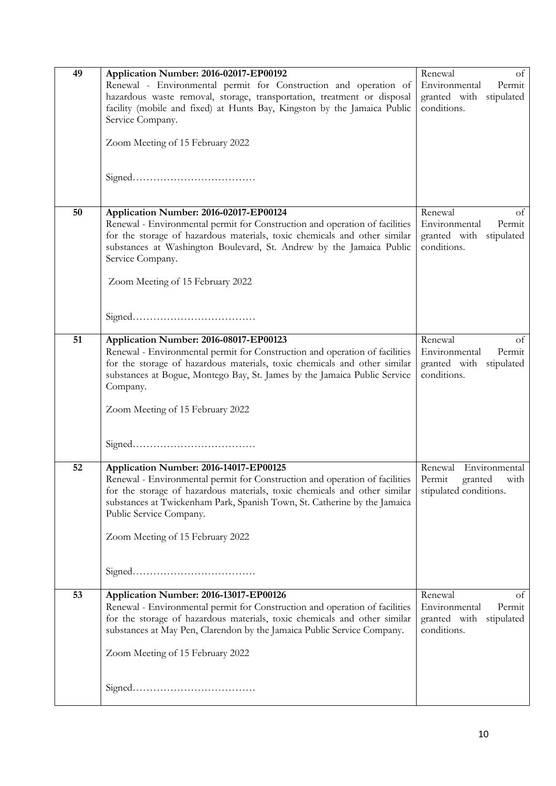| 49 | Application Number: 2016-02017-EP00192<br>Renewal - Environmental permit for Construction and operation of<br>hazardous waste removal, storage, transportation, treatment or disposal<br>facility (mobile and fixed) at Hunts Bay, Kingston by the Jamaica Public<br>Service Company.                                                          | of<br>Renewal<br>Environmental<br>Permit<br>granted with stipulated<br>conditions. |
|----|------------------------------------------------------------------------------------------------------------------------------------------------------------------------------------------------------------------------------------------------------------------------------------------------------------------------------------------------|------------------------------------------------------------------------------------|
|    | Zoom Meeting of 15 February 2022                                                                                                                                                                                                                                                                                                               |                                                                                    |
| 50 | Application Number: 2016-02017-EP00124<br>Renewal - Environmental permit for Construction and operation of facilities<br>for the storage of hazardous materials, toxic chemicals and other similar<br>substances at Washington Boulevard, St. Andrew by the Jamaica Public<br>Service Company.<br>Zoom Meeting of 15 February 2022             | Renewal<br>of<br>Environmental<br>Permit<br>granted with stipulated<br>conditions. |
|    |                                                                                                                                                                                                                                                                                                                                                |                                                                                    |
| 51 | Application Number: 2016-08017-EP00123<br>Renewal - Environmental permit for Construction and operation of facilities<br>for the storage of hazardous materials, toxic chemicals and other similar<br>substances at Bogue, Montego Bay, St. James by the Jamaica Public Service<br>Company.<br>Zoom Meeting of 15 February 2022                | Renewal<br>οf<br>Environmental<br>Permit<br>granted with stipulated<br>conditions. |
| 52 | Application Number: 2016-14017-EP00125<br>Renewal - Environmental permit for Construction and operation of facilities<br>for the storage of hazardous materials, toxic chemicals and other similar<br>substances at Twickenham Park, Spanish Town, St. Catherine by the Jamaica<br>Public Service Company.<br>Zoom Meeting of 15 February 2022 | Environmental<br>Renewal<br>Permit<br>granted<br>with<br>stipulated conditions.    |
| 53 | Application Number: 2016-13017-EP00126<br>Renewal - Environmental permit for Construction and operation of facilities<br>for the storage of hazardous materials, toxic chemicals and other similar<br>substances at May Pen, Clarendon by the Jamaica Public Service Company.<br>Zoom Meeting of 15 February 2022                              | Renewal<br>οf<br>Environmental<br>Permit<br>granted with stipulated<br>conditions. |
|    |                                                                                                                                                                                                                                                                                                                                                |                                                                                    |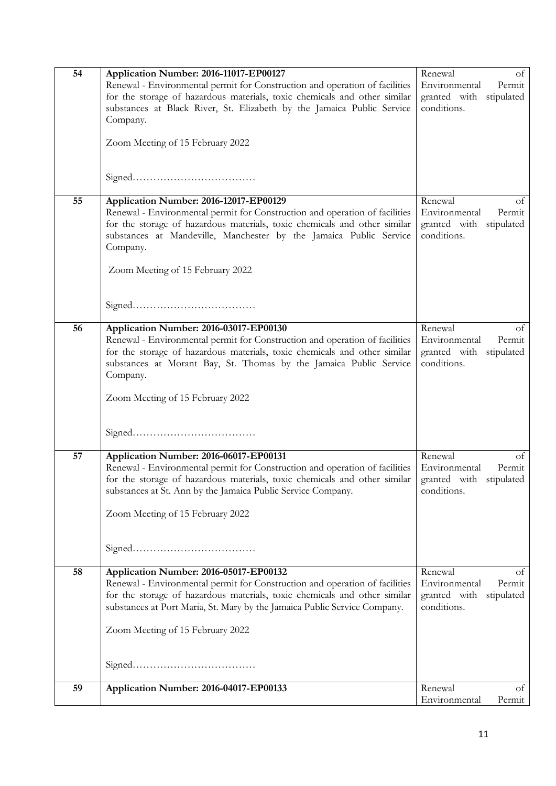| 54 | Application Number: 2016-11017-EP00127                                      | Renewal<br>of              |
|----|-----------------------------------------------------------------------------|----------------------------|
|    |                                                                             | Environmental<br>Permit    |
|    | Renewal - Environmental permit for Construction and operation of facilities |                            |
|    | for the storage of hazardous materials, toxic chemicals and other similar   | granted with stipulated    |
|    | substances at Black River, St. Elizabeth by the Jamaica Public Service      | conditions.                |
|    | Company.                                                                    |                            |
|    |                                                                             |                            |
|    |                                                                             |                            |
|    | Zoom Meeting of 15 February 2022                                            |                            |
|    |                                                                             |                            |
|    |                                                                             |                            |
|    |                                                                             |                            |
|    |                                                                             |                            |
|    |                                                                             |                            |
| 55 | Application Number: 2016-12017-EP00129                                      | Renewal<br>οt              |
|    | Renewal - Environmental permit for Construction and operation of facilities | Environmental<br>Permit    |
|    | for the storage of hazardous materials, toxic chemicals and other similar   | granted with<br>stipulated |
|    | substances at Mandeville, Manchester by the Jamaica Public Service          | conditions.                |
|    |                                                                             |                            |
|    | Company.                                                                    |                            |
|    |                                                                             |                            |
|    | Zoom Meeting of 15 February 2022                                            |                            |
|    |                                                                             |                            |
|    |                                                                             |                            |
|    |                                                                             |                            |
|    |                                                                             |                            |
|    |                                                                             |                            |
| 56 | Application Number: 2016-03017-EP00130                                      | Renewal<br>of              |
|    | Renewal - Environmental permit for Construction and operation of facilities | Environmental<br>Permit    |
|    |                                                                             |                            |
|    | for the storage of hazardous materials, toxic chemicals and other similar   | granted with stipulated    |
|    | substances at Morant Bay, St. Thomas by the Jamaica Public Service          | conditions.                |
|    | Company.                                                                    |                            |
|    |                                                                             |                            |
|    | Zoom Meeting of 15 February 2022                                            |                            |
|    |                                                                             |                            |
|    |                                                                             |                            |
|    |                                                                             |                            |
|    |                                                                             |                            |
|    |                                                                             |                            |
| 57 | Application Number: 2016-06017-EP00131                                      | Renewal<br>of              |
|    |                                                                             |                            |
|    | Renewal - Environmental permit for Construction and operation of facilities | Environmental<br>Permit    |
|    | for the storage of hazardous materials, toxic chemicals and other similar   | granted with<br>stipulated |
|    | substances at St. Ann by the Jamaica Public Service Company.                | conditions.                |
|    |                                                                             |                            |
|    | Zoom Meeting of 15 February 2022                                            |                            |
|    |                                                                             |                            |
|    |                                                                             |                            |
|    |                                                                             |                            |
|    |                                                                             |                            |
|    |                                                                             |                            |
| 58 | Application Number: 2016-05017-EP00132                                      | Renewal<br>οt              |
|    |                                                                             |                            |
|    | Renewal - Environmental permit for Construction and operation of facilities | Environmental<br>Permit    |
|    | for the storage of hazardous materials, toxic chemicals and other similar   | granted with stipulated    |
|    | substances at Port Maria, St. Mary by the Jamaica Public Service Company.   | conditions.                |
|    |                                                                             |                            |
|    |                                                                             |                            |
|    | Zoom Meeting of 15 February 2022                                            |                            |
|    |                                                                             |                            |
|    |                                                                             |                            |
|    |                                                                             |                            |
|    |                                                                             |                            |
|    |                                                                             |                            |
| 59 | Application Number: 2016-04017-EP00133                                      | Renewal<br>of              |
|    |                                                                             | Environmental<br>Permit    |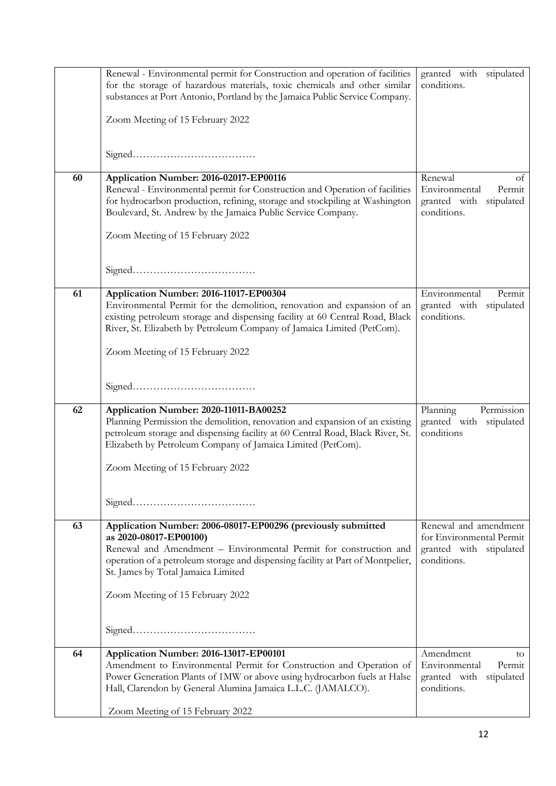|    | Renewal - Environmental permit for Construction and operation of facilities<br>for the storage of hazardous materials, toxic chemicals and other similar<br>substances at Port Antonio, Portland by the Jamaica Public Service Company.                                                                                  | granted with stipulated<br>conditions.                                                      |
|----|--------------------------------------------------------------------------------------------------------------------------------------------------------------------------------------------------------------------------------------------------------------------------------------------------------------------------|---------------------------------------------------------------------------------------------|
|    | Zoom Meeting of 15 February 2022                                                                                                                                                                                                                                                                                         |                                                                                             |
|    |                                                                                                                                                                                                                                                                                                                          |                                                                                             |
| 60 | Application Number: 2016-02017-EP00116<br>Renewal - Environmental permit for Construction and Operation of facilities<br>for hydrocarbon production, refining, storage and stockpiling at Washington<br>Boulevard, St. Andrew by the Jamaica Public Service Company.<br>Zoom Meeting of 15 February 2022                 | Renewal<br>οt<br>Environmental<br>Permit<br>granted with<br>stipulated<br>conditions.       |
|    |                                                                                                                                                                                                                                                                                                                          |                                                                                             |
| 61 | Application Number: 2016-11017-EP00304<br>Environmental Permit for the demolition, renovation and expansion of an<br>existing petroleum storage and dispensing facility at 60 Central Road, Black<br>River, St. Elizabeth by Petroleum Company of Jamaica Limited (PetCom).                                              | Environmental<br>Permit<br>granted with<br>stipulated<br>conditions.                        |
|    | Zoom Meeting of 15 February 2022                                                                                                                                                                                                                                                                                         |                                                                                             |
|    |                                                                                                                                                                                                                                                                                                                          |                                                                                             |
| 62 | Application Number: 2020-11011-BA00252<br>Planning Permission the demolition, renovation and expansion of an existing<br>petroleum storage and dispensing facility at 60 Central Road, Black River, St.<br>Elizabeth by Petroleum Company of Jamaica Limited (PetCom).                                                   | Planning<br>Permission<br>granted with stipulated<br>conditions                             |
|    | Zoom Meeting of 15 February 2022                                                                                                                                                                                                                                                                                         |                                                                                             |
|    |                                                                                                                                                                                                                                                                                                                          |                                                                                             |
| 63 | Application Number: 2006-08017-EP00296 (previously submitted<br>as 2020-08017-EP00100)<br>Renewal and Amendment - Environmental Permit for construction and<br>operation of a petroleum storage and dispensing facility at Part of Montpelier,<br>St. James by Total Jamaica Limited<br>Zoom Meeting of 15 February 2022 | Renewal and amendment<br>for Environmental Permit<br>granted with stipulated<br>conditions. |
|    |                                                                                                                                                                                                                                                                                                                          |                                                                                             |
|    |                                                                                                                                                                                                                                                                                                                          |                                                                                             |
| 64 | Application Number: 2016-13017-EP00101<br>Amendment to Environmental Permit for Construction and Operation of<br>Power Generation Plants of 1MW or above using hydrocarbon fuels at Halse<br>Hall, Clarendon by General Alumina Jamaica L.L.C. (JAMALCO).                                                                | Amendment<br>to<br>Environmental<br>Permit<br>granted with<br>stipulated<br>conditions.     |
|    | Zoom Meeting of 15 February 2022                                                                                                                                                                                                                                                                                         |                                                                                             |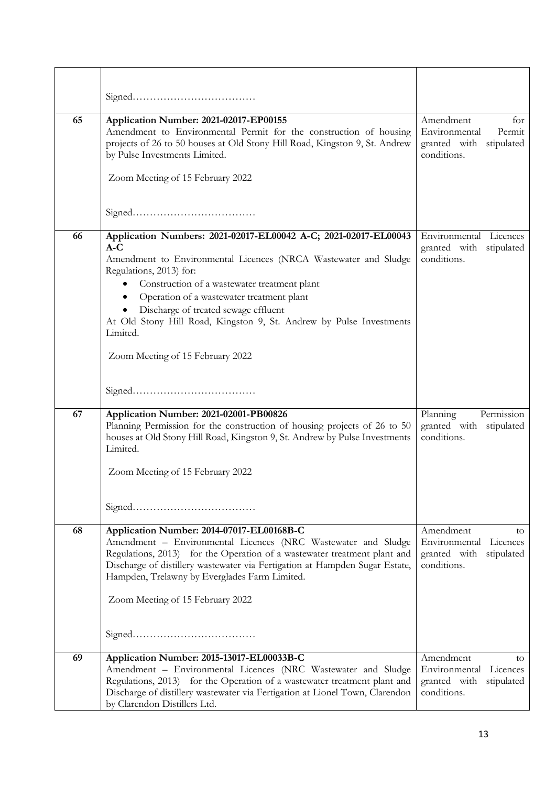| 65 | Application Number: 2021-02017-EP00155<br>Amendment to Environmental Permit for the construction of housing<br>projects of 26 to 50 houses at Old Stony Hill Road, Kingston 9, St. Andrew<br>by Pulse Investments Limited.<br>Zoom Meeting of 15 February 2022                                                                                                                                                                                    | Amendment<br>for<br>Environmental<br>Permit<br>granted with stipulated<br>conditions. |
|----|---------------------------------------------------------------------------------------------------------------------------------------------------------------------------------------------------------------------------------------------------------------------------------------------------------------------------------------------------------------------------------------------------------------------------------------------------|---------------------------------------------------------------------------------------|
|    |                                                                                                                                                                                                                                                                                                                                                                                                                                                   |                                                                                       |
| 66 | Application Numbers: 2021-02017-EL00042 A-C; 2021-02017-EL00043<br>$A-C$<br>Amendment to Environmental Licences (NRCA Wastewater and Sludge<br>Regulations, 2013) for:<br>• Construction of a wastewater treatment plant<br>Operation of a wastewater treatment plant<br>$\bullet$<br>Discharge of treated sewage effluent<br>At Old Stony Hill Road, Kingston 9, St. Andrew by Pulse Investments<br>Limited.<br>Zoom Meeting of 15 February 2022 | Environmental Licences<br>granted with stipulated<br>conditions.                      |
|    |                                                                                                                                                                                                                                                                                                                                                                                                                                                   |                                                                                       |
| 67 | Application Number: 2021-02001-PB00826<br>Planning Permission for the construction of housing projects of 26 to 50<br>houses at Old Stony Hill Road, Kingston 9, St. Andrew by Pulse Investments<br>Limited.<br>Zoom Meeting of 15 February 2022                                                                                                                                                                                                  | Planning<br>Permission<br>granted with stipulated<br>conditions.                      |
| 68 | Application Number: 2014-07017-EL00168B-C<br>Amendment - Environmental Licences (NRC Wastewater and Sludge<br>Regulations, 2013) for the Operation of a wastewater treatment plant and<br>Discharge of distillery wastewater via Fertigation at Hampden Sugar Estate,<br>Hampden, Trelawny by Everglades Farm Limited.<br>Zoom Meeting of 15 February 2022                                                                                        | Amendment<br>to.<br>Environmental Licences<br>granted with stipulated<br>conditions.  |
| 69 | Application Number: 2015-13017-EL00033B-C<br>Amendment - Environmental Licences (NRC Wastewater and Sludge<br>Regulations, 2013) for the Operation of a wastewater treatment plant and<br>Discharge of distillery wastewater via Fertigation at Lionel Town, Clarendon<br>by Clarendon Distillers Ltd.                                                                                                                                            | Amendment<br>to<br>Environmental Licences<br>granted with stipulated<br>conditions.   |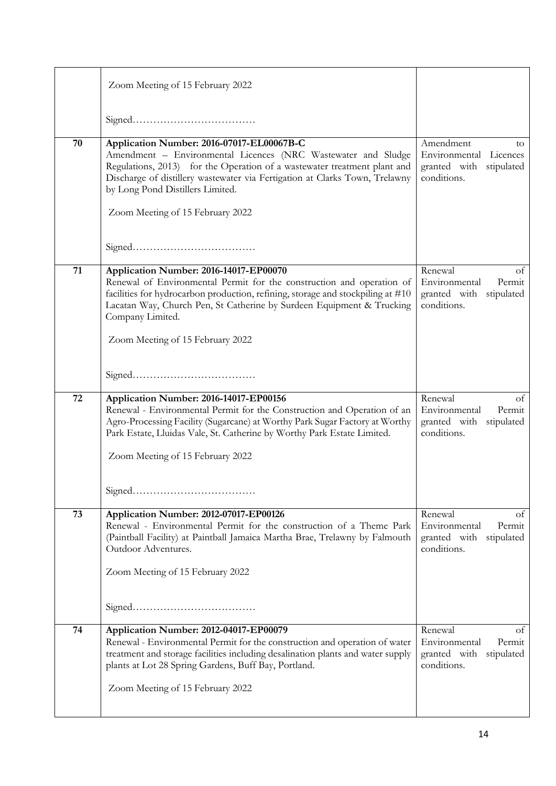|    | Zoom Meeting of 15 February 2022                                                                                                                                                                                                                                                                                                              |                                                                                       |
|----|-----------------------------------------------------------------------------------------------------------------------------------------------------------------------------------------------------------------------------------------------------------------------------------------------------------------------------------------------|---------------------------------------------------------------------------------------|
|    |                                                                                                                                                                                                                                                                                                                                               |                                                                                       |
| 70 | Application Number: 2016-07017-EL00067B-C<br>Amendment - Environmental Licences (NRC Wastewater and Sludge<br>Regulations, 2013) for the Operation of a wastewater treatment plant and<br>Discharge of distillery wastewater via Fertigation at Clarks Town, Trelawny<br>by Long Pond Distillers Limited.<br>Zoom Meeting of 15 February 2022 | Amendment<br>to<br>Environmental Licences<br>granted with stipulated<br>conditions.   |
|    |                                                                                                                                                                                                                                                                                                                                               |                                                                                       |
| 71 | Application Number: 2016-14017-EP00070<br>Renewal of Environmental Permit for the construction and operation of<br>facilities for hydrocarbon production, refining, storage and stockpiling at #10<br>Lacatan Way, Church Pen, St Catherine by Surdeen Equipment & Trucking<br>Company Limited.                                               | Renewal<br>of<br>Environmental<br>Permit<br>granted with stipulated<br>conditions.    |
|    | Zoom Meeting of 15 February 2022                                                                                                                                                                                                                                                                                                              |                                                                                       |
|    |                                                                                                                                                                                                                                                                                                                                               |                                                                                       |
|    |                                                                                                                                                                                                                                                                                                                                               |                                                                                       |
| 72 | Application Number: 2016-14017-EP00156<br>Renewal - Environmental Permit for the Construction and Operation of an<br>Agro-Processing Facility (Sugarcane) at Worthy Park Sugar Factory at Worthy<br>Park Estate, Lluidas Vale, St. Catherine by Worthy Park Estate Limited.                                                                   | Renewal<br>of<br>Permit<br>Environmental<br>granted with stipulated<br>conditions.    |
|    | Zoom Meeting of 15 February 2022                                                                                                                                                                                                                                                                                                              |                                                                                       |
|    |                                                                                                                                                                                                                                                                                                                                               |                                                                                       |
| 73 | Application Number: 2012-07017-EP00126<br>Renewal - Environmental Permit for the construction of a Theme Park<br>(Paintball Facility) at Paintball Jamaica Martha Brae, Trelawny by Falmouth<br>Outdoor Adventures.                                                                                                                           | Renewal<br>Οt<br>Environmental<br>Permit<br>granted with<br>stipulated<br>conditions. |
|    | Zoom Meeting of 15 February 2022                                                                                                                                                                                                                                                                                                              |                                                                                       |
|    |                                                                                                                                                                                                                                                                                                                                               |                                                                                       |
| 74 | Application Number: 2012-04017-EP00079<br>Renewal - Environmental Permit for the construction and operation of water<br>treatment and storage facilities including desalination plants and water supply<br>plants at Lot 28 Spring Gardens, Buff Bay, Portland.                                                                               | Renewal<br>of<br>Environmental<br>Permit<br>granted with stipulated<br>conditions.    |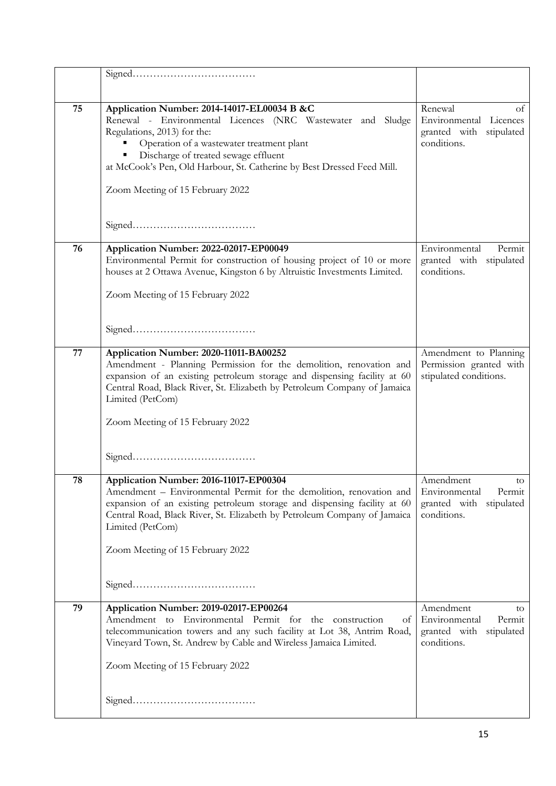| 75 | Application Number: 2014-14017-EL00034 B &C<br>Renewal - Environmental Licences (NRC Wastewater and Sludge<br>Regulations, 2013) for the:<br>• Operation of a wastewater treatment plant<br>• Discharge of treated sewage effluent<br>at McCook's Pen, Old Harbour, St. Catherine by Best Dressed Feed Mill.<br>Zoom Meeting of 15 February 2022 | Renewal<br>οt<br>Environmental Licences<br>granted with stipulated<br>conditions.       |
|----|--------------------------------------------------------------------------------------------------------------------------------------------------------------------------------------------------------------------------------------------------------------------------------------------------------------------------------------------------|-----------------------------------------------------------------------------------------|
|    |                                                                                                                                                                                                                                                                                                                                                  |                                                                                         |
| 76 | Application Number: 2022-02017-EP00049<br>Environmental Permit for construction of housing project of 10 or more<br>houses at 2 Ottawa Avenue, Kingston 6 by Altruistic Investments Limited.<br>Zoom Meeting of 15 February 2022                                                                                                                 | Environmental<br>Permit<br>granted with stipulated<br>conditions.                       |
|    |                                                                                                                                                                                                                                                                                                                                                  |                                                                                         |
| 77 | Application Number: 2020-11011-BA00252<br>Amendment - Planning Permission for the demolition, renovation and<br>expansion of an existing petroleum storage and dispensing facility at 60<br>Central Road, Black River, St. Elizabeth by Petroleum Company of Jamaica<br>Limited (PetCom)<br>Zoom Meeting of 15 February 2022                     | Amendment to Planning<br>Permission granted with<br>stipulated conditions.              |
| 78 | Application Number: 2016-11017-EP00304<br>Amendment - Environmental Permit for the demolition, renovation and<br>expansion of an existing petroleum storage and dispensing facility at 60<br>Central Road, Black River, St. Elizabeth by Petroleum Company of Jamaica<br>Limited (PetCom)<br>Zoom Meeting of 15 February 2022                    | Amendment<br>to<br>Environmental<br>Permit<br>granted with<br>stipulated<br>conditions. |
| 79 | Application Number: 2019-02017-EP00264<br>Amendment to Environmental Permit for the construction<br>of<br>telecommunication towers and any such facility at Lot 38, Antrim Road,<br>Vineyard Town, St. Andrew by Cable and Wireless Jamaica Limited.<br>Zoom Meeting of 15 February 2022                                                         | Amendment<br>to<br>Environmental<br>Permit<br>granted with stipulated<br>conditions.    |
|    |                                                                                                                                                                                                                                                                                                                                                  |                                                                                         |
|    |                                                                                                                                                                                                                                                                                                                                                  |                                                                                         |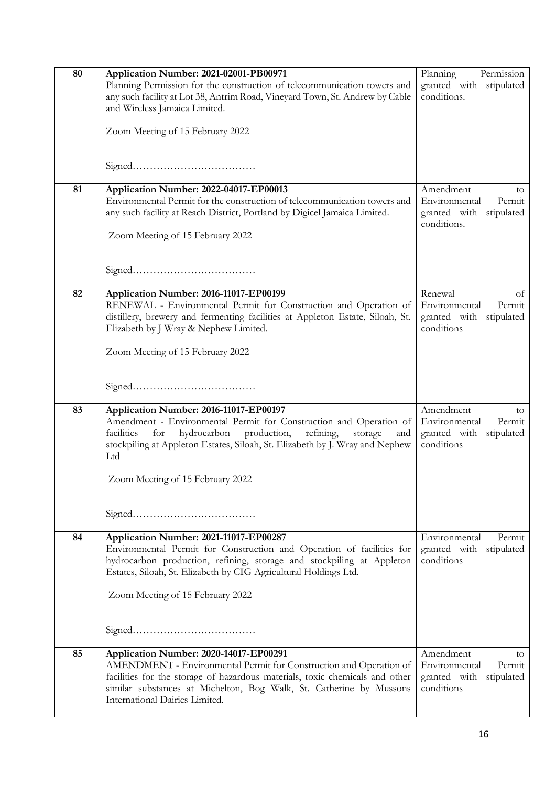| 80 | Application Number: 2021-02001-PB00971<br>Planning Permission for the construction of telecommunication towers and<br>any such facility at Lot 38, Antrim Road, Vineyard Town, St. Andrew by Cable<br>and Wireless Jamaica Limited.<br>Zoom Meeting of 15 February 2022                                                   | Planning<br>Permission<br>granted with stipulated<br>conditions.                       |
|----|---------------------------------------------------------------------------------------------------------------------------------------------------------------------------------------------------------------------------------------------------------------------------------------------------------------------------|----------------------------------------------------------------------------------------|
|    |                                                                                                                                                                                                                                                                                                                           |                                                                                        |
| 81 | Application Number: 2022-04017-EP00013<br>Environmental Permit for the construction of telecommunication towers and<br>any such facility at Reach District, Portland by Digicel Jamaica Limited.<br>Zoom Meeting of 15 February 2022                                                                                      | Amendment<br>to<br>Environmental<br>Permit<br>granted with stipulated<br>conditions.   |
|    |                                                                                                                                                                                                                                                                                                                           |                                                                                        |
| 82 | Application Number: 2016-11017-EP00199<br>RENEWAL - Environmental Permit for Construction and Operation of<br>distillery, brewery and fermenting facilities at Appleton Estate, Siloah, St.<br>Elizabeth by J Wray & Nephew Limited.                                                                                      | Renewal<br>of<br>Environmental<br>Permit<br>granted with stipulated<br>conditions      |
|    | Zoom Meeting of 15 February 2022                                                                                                                                                                                                                                                                                          |                                                                                        |
| 83 | Application Number: 2016-11017-EP00197<br>Amendment - Environmental Permit for Construction and Operation of<br>hydrocarbon<br>production,<br>facilities<br>refining,<br>for<br>storage<br>and<br>stockpiling at Appleton Estates, Siloah, St. Elizabeth by J. Wray and Nephew<br>Ltd<br>Zoom Meeting of 15 February 2022 | Amendment<br>to<br>Environmental<br>Permit<br>granted with stipulated<br>conditions    |
|    |                                                                                                                                                                                                                                                                                                                           |                                                                                        |
| 84 | Application Number: 2021-11017-EP00287<br>Environmental Permit for Construction and Operation of facilities for<br>hydrocarbon production, refining, storage and stockpiling at Appleton<br>Estates, Siloah, St. Elizabeth by CIG Agricultural Holdings Ltd.                                                              | Environmental<br>Permit<br>granted with<br>stipulated<br>conditions                    |
|    | Zoom Meeting of 15 February 2022                                                                                                                                                                                                                                                                                          |                                                                                        |
| 85 | Application Number: 2020-14017-EP00291<br>AMENDMENT - Environmental Permit for Construction and Operation of<br>facilities for the storage of hazardous materials, toxic chemicals and other<br>similar substances at Michelton, Bog Walk, St. Catherine by Mussons<br>International Dairies Limited.                     | Amendment<br>to<br>Environmental<br>Permit<br>granted with<br>stipulated<br>conditions |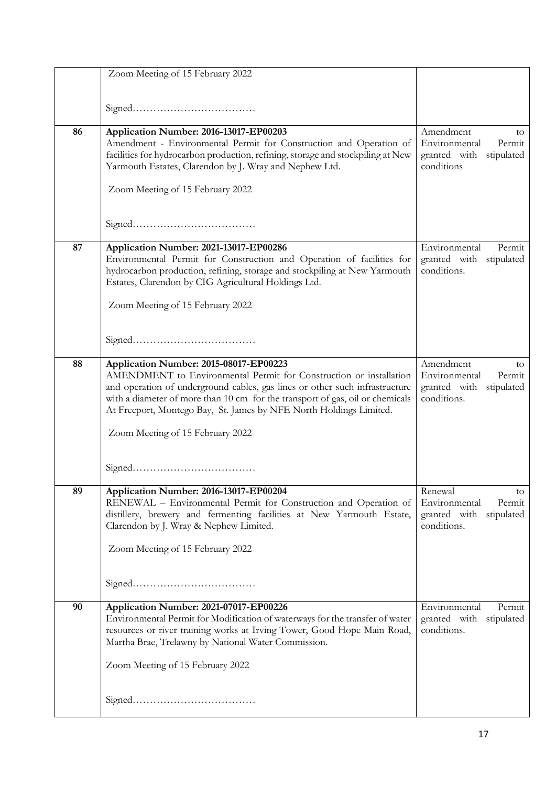|    | Zoom Meeting of 15 February 2022                                                                                                                                                                                                                                                                                                                   |                                                                                         |
|----|----------------------------------------------------------------------------------------------------------------------------------------------------------------------------------------------------------------------------------------------------------------------------------------------------------------------------------------------------|-----------------------------------------------------------------------------------------|
|    |                                                                                                                                                                                                                                                                                                                                                    |                                                                                         |
| 86 | Application Number: 2016-13017-EP00203<br>Amendment - Environmental Permit for Construction and Operation of<br>facilities for hydrocarbon production, refining, storage and stockpiling at New<br>Yarmouth Estates, Clarendon by J. Wray and Nephew Ltd.<br>Zoom Meeting of 15 February 2022                                                      | Amendment<br>to<br>Environmental<br>Permit<br>granted with<br>stipulated<br>conditions  |
|    |                                                                                                                                                                                                                                                                                                                                                    |                                                                                         |
| 87 | Application Number: 2021-13017-EP00286<br>Environmental Permit for Construction and Operation of facilities for<br>hydrocarbon production, refining, storage and stockpiling at New Yarmouth<br>Estates, Clarendon by CIG Agricultural Holdings Ltd.<br>Zoom Meeting of 15 February 2022                                                           | Environmental<br>Permit<br>granted with stipulated<br>conditions.                       |
|    |                                                                                                                                                                                                                                                                                                                                                    |                                                                                         |
| 88 | Application Number: 2015-08017-EP00223<br>AMENDMENT to Environmental Permit for Construction or installation<br>and operation of underground cables, gas lines or other such infrastructure<br>with a diameter of more than 10 cm for the transport of gas, oil or chemicals<br>At Freeport, Montego Bay, St. James by NFE North Holdings Limited. | Amendment<br>to<br>Environmental<br>Permit<br>granted with<br>stipulated<br>conditions. |
|    | Zoom Meeting of 15 February 2022                                                                                                                                                                                                                                                                                                                   |                                                                                         |
| 89 | Application Number: 2016-13017-EP00204<br>RENEWAL - Environmental Permit for Construction and Operation of<br>distillery, brewery and fermenting facilities at New Yarmouth Estate,<br>Clarendon by J. Wray & Nephew Limited.<br>Zoom Meeting of 15 February 2022                                                                                  | Renewal<br>to<br>Environmental<br>Permit<br>granted with<br>stipulated<br>conditions.   |
|    |                                                                                                                                                                                                                                                                                                                                                    |                                                                                         |
| 90 | Application Number: 2021-07017-EP00226<br>Environmental Permit for Modification of waterways for the transfer of water<br>resources or river training works at Irving Tower, Good Hope Main Road,<br>Martha Brae, Trelawny by National Water Commission.<br>Zoom Meeting of 15 February 2022                                                       | Environmental<br>Permit<br>granted with stipulated<br>conditions.                       |
|    |                                                                                                                                                                                                                                                                                                                                                    |                                                                                         |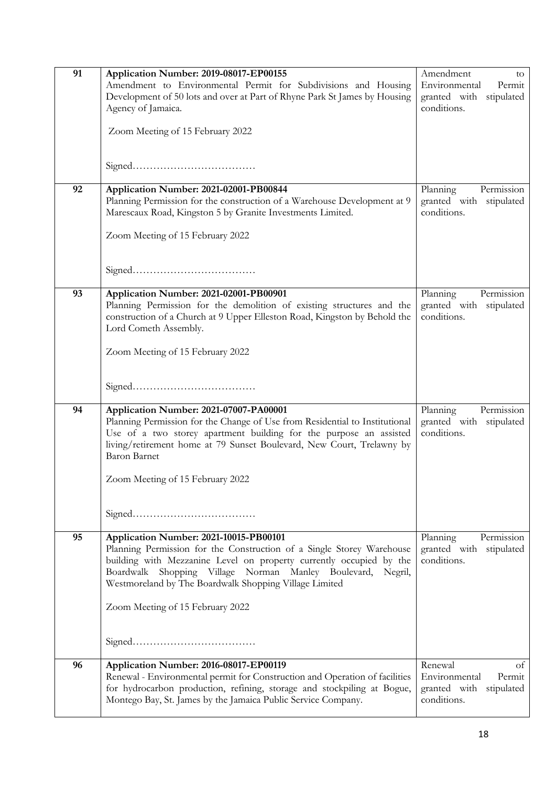| 91<br>92 | Application Number: 2019-08017-EP00155<br>Amendment to Environmental Permit for Subdivisions and Housing<br>Development of 50 lots and over at Part of Rhyne Park St James by Housing<br>Agency of Jamaica.<br>Zoom Meeting of 15 February 2022<br>Application Number: 2021-02001-PB00844                                                              | Amendment<br>to<br>Environmental<br>Permit<br>granted with stipulated<br>conditions.<br>Planning<br>Permission |
|----------|--------------------------------------------------------------------------------------------------------------------------------------------------------------------------------------------------------------------------------------------------------------------------------------------------------------------------------------------------------|----------------------------------------------------------------------------------------------------------------|
|          | Planning Permission for the construction of a Warehouse Development at 9<br>Marescaux Road, Kingston 5 by Granite Investments Limited.<br>Zoom Meeting of 15 February 2022                                                                                                                                                                             | granted with stipulated<br>conditions.                                                                         |
|          |                                                                                                                                                                                                                                                                                                                                                        |                                                                                                                |
| 93       | Application Number: 2021-02001-PB00901<br>Planning Permission for the demolition of existing structures and the<br>construction of a Church at 9 Upper Elleston Road, Kingston by Behold the<br>Lord Cometh Assembly.                                                                                                                                  | Planning<br>Permission<br>granted with stipulated<br>conditions.                                               |
|          | Zoom Meeting of 15 February 2022                                                                                                                                                                                                                                                                                                                       |                                                                                                                |
| 94       | Application Number: 2021-07007-PA00001<br>Planning Permission for the Change of Use from Residential to Institutional<br>Use of a two storey apartment building for the purpose an assisted<br>living/retirement home at 79 Sunset Boulevard, New Court, Trelawny by<br><b>Baron Barnet</b><br>Zoom Meeting of 15 February 2022                        | Planning<br>Permission<br>granted with stipulated<br>conditions.                                               |
|          |                                                                                                                                                                                                                                                                                                                                                        |                                                                                                                |
| 95       | Application Number: 2021-10015-PB00101<br>Planning Permission for the Construction of a Single Storey Warehouse<br>building with Mezzanine Level on property currently occupied by the<br>Boardwalk Shopping Village Norman Manley Boulevard,<br>Negril,<br>Westmoreland by The Boardwalk Shopping Village Limited<br>Zoom Meeting of 15 February 2022 | Planning<br>Permission<br>granted with stipulated<br>conditions.                                               |
| 96       | Application Number: 2016-08017-EP00119<br>Renewal - Environmental permit for Construction and Operation of facilities<br>for hydrocarbon production, refining, storage and stockpiling at Bogue,<br>Montego Bay, St. James by the Jamaica Public Service Company.                                                                                      | Renewal<br>of<br>Environmental<br>Permit<br>granted with stipulated<br>conditions.                             |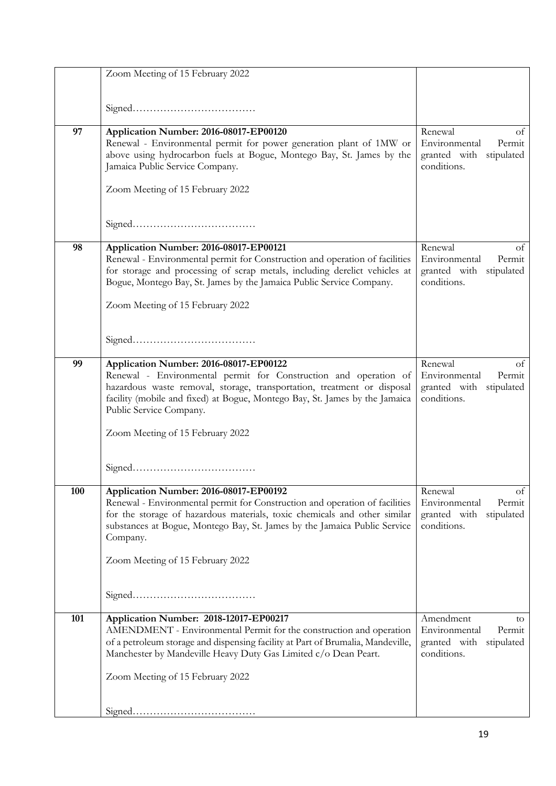|     | Zoom Meeting of 15 February 2022                                                                                                                                                                                                                                                                                                |                                                                                         |
|-----|---------------------------------------------------------------------------------------------------------------------------------------------------------------------------------------------------------------------------------------------------------------------------------------------------------------------------------|-----------------------------------------------------------------------------------------|
|     |                                                                                                                                                                                                                                                                                                                                 |                                                                                         |
|     |                                                                                                                                                                                                                                                                                                                                 |                                                                                         |
| 97  | Application Number: 2016-08017-EP00120<br>Renewal - Environmental permit for power generation plant of 1MW or<br>above using hydrocarbon fuels at Bogue, Montego Bay, St. James by the<br>Jamaica Public Service Company.                                                                                                       | Renewal<br>of<br>Environmental<br>Permit<br>granted with stipulated<br>conditions.      |
|     | Zoom Meeting of 15 February 2022                                                                                                                                                                                                                                                                                                |                                                                                         |
|     |                                                                                                                                                                                                                                                                                                                                 |                                                                                         |
| 98  | Application Number: 2016-08017-EP00121<br>Renewal - Environmental permit for Construction and operation of facilities<br>for storage and processing of scrap metals, including derelict vehicles at<br>Bogue, Montego Bay, St. James by the Jamaica Public Service Company.<br>Zoom Meeting of 15 February 2022                 | Renewal<br>οf<br>Environmental<br>Permit<br>granted with stipulated<br>conditions.      |
|     |                                                                                                                                                                                                                                                                                                                                 |                                                                                         |
| 99  | Application Number: 2016-08017-EP00122<br>Renewal - Environmental permit for Construction and operation of<br>hazardous waste removal, storage, transportation, treatment or disposal<br>facility (mobile and fixed) at Bogue, Montego Bay, St. James by the Jamaica<br>Public Service Company.                                 | Renewal<br>οt<br>Environmental<br>Permit<br>granted with stipulated<br>conditions.      |
|     | Zoom Meeting of 15 February 2022                                                                                                                                                                                                                                                                                                |                                                                                         |
|     |                                                                                                                                                                                                                                                                                                                                 |                                                                                         |
| 100 | Application Number: 2016-08017-EP00192<br>Renewal - Environmental permit for Construction and operation of facilities<br>for the storage of hazardous materials, toxic chemicals and other similar<br>substances at Bogue, Montego Bay, St. James by the Jamaica Public Service<br>Company.<br>Zoom Meeting of 15 February 2022 | Renewal<br>of<br>Environmental<br>Permit<br>granted with<br>stipulated<br>conditions.   |
|     |                                                                                                                                                                                                                                                                                                                                 |                                                                                         |
|     |                                                                                                                                                                                                                                                                                                                                 |                                                                                         |
| 101 | Application Number: 2018-12017-EP00217<br>AMENDMENT - Environmental Permit for the construction and operation<br>of a petroleum storage and dispensing facility at Part of Brumalia, Mandeville,<br>Manchester by Mandeville Heavy Duty Gas Limited c/o Dean Peart.                                                             | Amendment<br>to<br>Environmental<br>Permit<br>granted with<br>stipulated<br>conditions. |
|     | Zoom Meeting of 15 February 2022                                                                                                                                                                                                                                                                                                |                                                                                         |
|     |                                                                                                                                                                                                                                                                                                                                 |                                                                                         |